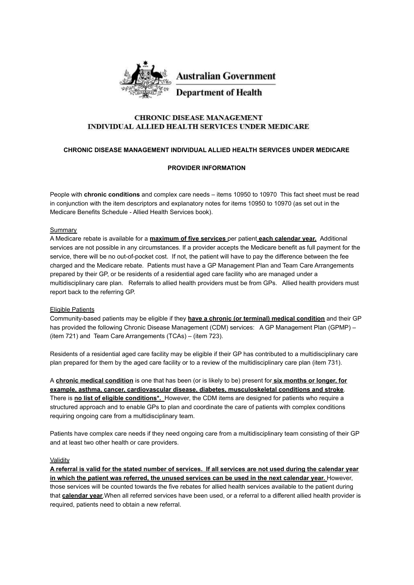

## **CHRONIC DISEASE MANAGEMENT** INDIVIDUAL ALLIED HEALTH SERVICES UNDER MEDICARE

#### **CHRONIC DISEASE MANAGEMENT INDIVIDUAL ALLIED HEALTH SERVICES UNDER MEDICARE**

### **PROVIDER INFORMATION**

People with **chronic conditions** and complex care needs – items 10950 to 10970 This fact sheet must be read in conjunction with the item descriptors and explanatory notes for items 10950 to 10970 (as set out in the Medicare Benefits Schedule - Allied Health Services book).

#### Summary

A Medicare rebate is available for a **maximum of five services** per patient **each calendar year.** Additional services are not possible in any circumstances. If a provider accepts the Medicare benefit as full payment for the service, there will be no out-of-pocket cost. If not, the patient will have to pay the difference between the fee charged and the Medicare rebate. Patients must have a GP Management Plan and Team Care Arrangements prepared by their GP, or be residents of a residential aged care facility who are managed under a multidisciplinary care plan. Referrals to allied health providers must be from GPs. Allied health providers must report back to the referring GP.

#### Eligible Patients

Community-based patients may be eligible if they **have a chronic (or terminal) medical condition** and their GP has provided the following Chronic Disease Management (CDM) services: A GP Management Plan (GPMP) – (item 721) and Team Care Arrangements (TCAs) – (item 723).

Residents of a residential aged care facility may be eligible if their GP has contributed to a multidisciplinary care plan prepared for them by the aged care facility or to a review of the multidisciplinary care plan (item 731).

A **chronic medical condition** is one that has been (or is likely to be) present for **six months or longer, for example, asthma, cancer, cardiovascular disease, diabetes, musculoskeletal conditions and stroke**. There is **no list of eligible conditions\*.** However, the CDM items are designed for patients who require a structured approach and to enable GPs to plan and coordinate the care of patients with complex conditions requiring ongoing care from a multidisciplinary team.

Patients have complex care needs if they need ongoing care from a multidisciplinary team consisting of their GP and at least two other health or care providers.

#### Validity

**A referral is valid for the stated number of services. If all services are not used during the calendar year in which the patient was referred, the unused services can be used in the next calendar year.** However, those services will be counted towards the five rebates for allied health services available to the patient during that **calendar year**.When all referred services have been used, or a referral to a different allied health provider is required, patients need to obtain a new referral.